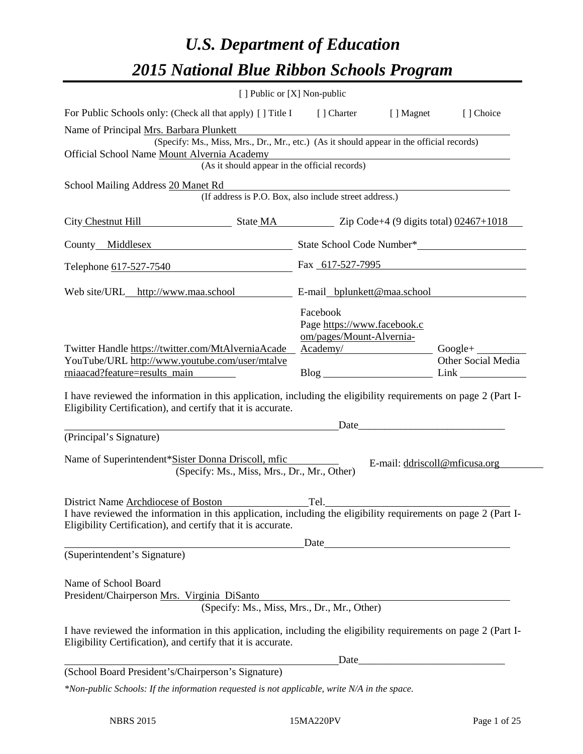# *U.S. Department of Education 2015 National Blue Ribbon Schools Program*

|                                                                                                                                                                                                                                                              | [ ] Public or [X] Non-public                                                             |                               |
|--------------------------------------------------------------------------------------------------------------------------------------------------------------------------------------------------------------------------------------------------------------|------------------------------------------------------------------------------------------|-------------------------------|
| For Public Schools only: (Check all that apply) [] Title I [] Charter [] Magnet                                                                                                                                                                              |                                                                                          | [] Choice                     |
| Name of Principal Mrs. Barbara Plunkett                                                                                                                                                                                                                      | (Specify: Ms., Miss, Mrs., Dr., Mr., etc.) (As it should appear in the official records) |                               |
| Official School Name Mount Alvernia Academy                                                                                                                                                                                                                  | verma Academy<br>(As it should appear in the official records)                           |                               |
| School Mailing Address 20 Manet Rd                                                                                                                                                                                                                           | (If address is P.O. Box, also include street address.)                                   |                               |
| City Chestnut Hill State MA Zip Code+4 (9 digits total) 02467+1018                                                                                                                                                                                           |                                                                                          |                               |
| County Middlesex                                                                                                                                                                                                                                             |                                                                                          |                               |
| Telephone 617-527-7540                                                                                                                                                                                                                                       | Fax 617-527-7995                                                                         |                               |
| Web site/URL_http://www.maa.school E-mail_bplunkett@maa.school                                                                                                                                                                                               |                                                                                          |                               |
| Twitter Handle https://twitter.com/MtAlverniaAcade<br>YouTube/URL http://www.youtube.com/user/mtalve<br>rniaacad?feature=results_main                                                                                                                        | Facebook<br>Page https://www.facebook.c<br>om/pages/Mount-Alvernia-<br>Academy/          | Other Social Media            |
| I have reviewed the information in this application, including the eligibility requirements on page 2 (Part I-<br>Eligibility Certification), and certify that it is accurate.                                                                               |                                                                                          |                               |
| (Principal's Signature)                                                                                                                                                                                                                                      |                                                                                          |                               |
| Name of Superintendent*Sister Donna Driscoll, mfic<br>(Specify: Ms., Miss, Mrs., Dr., Mr., Other)                                                                                                                                                            |                                                                                          | E-mail: ddriscoll@mficusa.org |
| District Name Archdiocese of Boston<br>District Name Archdiocese of Boston<br>I have reviewed the information in this application, including the eligibility requirements on page 2 (Part I-<br>Eligibility Certification), and certify that it is accurate. |                                                                                          |                               |
| (Superintendent's Signature)                                                                                                                                                                                                                                 | Date                                                                                     |                               |
| Name of School Board<br>President/Chairperson Mrs. Virginia DiSanto<br>(Specify: Ms., Miss, Mrs., Dr., Mr., Other)                                                                                                                                           |                                                                                          |                               |
| I have reviewed the information in this application, including the eligibility requirements on page 2 (Part I-<br>Eligibility Certification), and certify that it is accurate.                                                                               |                                                                                          |                               |
|                                                                                                                                                                                                                                                              | Date                                                                                     |                               |
| (School Board President's/Chairperson's Signature)                                                                                                                                                                                                           |                                                                                          |                               |
| *Non-public Schools: If the information requested is not applicable, write N/A in the space.                                                                                                                                                                 |                                                                                          |                               |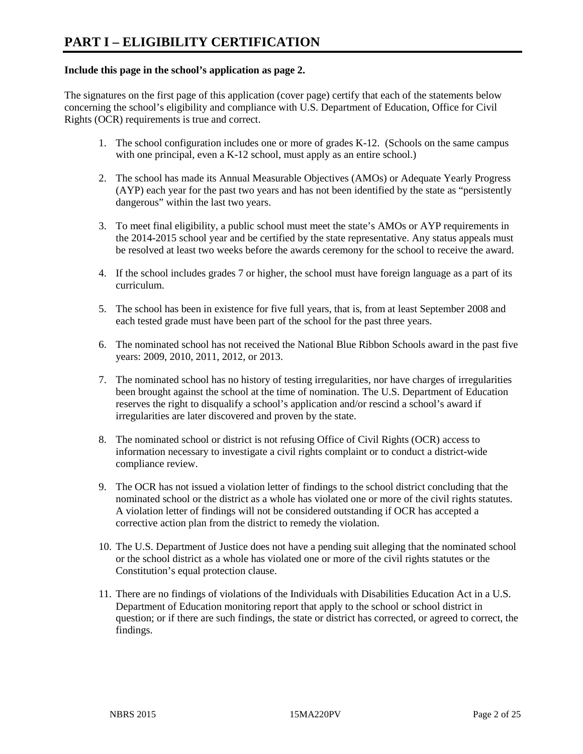#### **Include this page in the school's application as page 2.**

The signatures on the first page of this application (cover page) certify that each of the statements below concerning the school's eligibility and compliance with U.S. Department of Education, Office for Civil Rights (OCR) requirements is true and correct.

- 1. The school configuration includes one or more of grades K-12. (Schools on the same campus with one principal, even a K-12 school, must apply as an entire school.)
- 2. The school has made its Annual Measurable Objectives (AMOs) or Adequate Yearly Progress (AYP) each year for the past two years and has not been identified by the state as "persistently dangerous" within the last two years.
- 3. To meet final eligibility, a public school must meet the state's AMOs or AYP requirements in the 2014-2015 school year and be certified by the state representative. Any status appeals must be resolved at least two weeks before the awards ceremony for the school to receive the award.
- 4. If the school includes grades 7 or higher, the school must have foreign language as a part of its curriculum.
- 5. The school has been in existence for five full years, that is, from at least September 2008 and each tested grade must have been part of the school for the past three years.
- 6. The nominated school has not received the National Blue Ribbon Schools award in the past five years: 2009, 2010, 2011, 2012, or 2013.
- 7. The nominated school has no history of testing irregularities, nor have charges of irregularities been brought against the school at the time of nomination. The U.S. Department of Education reserves the right to disqualify a school's application and/or rescind a school's award if irregularities are later discovered and proven by the state.
- 8. The nominated school or district is not refusing Office of Civil Rights (OCR) access to information necessary to investigate a civil rights complaint or to conduct a district-wide compliance review.
- 9. The OCR has not issued a violation letter of findings to the school district concluding that the nominated school or the district as a whole has violated one or more of the civil rights statutes. A violation letter of findings will not be considered outstanding if OCR has accepted a corrective action plan from the district to remedy the violation.
- 10. The U.S. Department of Justice does not have a pending suit alleging that the nominated school or the school district as a whole has violated one or more of the civil rights statutes or the Constitution's equal protection clause.
- 11. There are no findings of violations of the Individuals with Disabilities Education Act in a U.S. Department of Education monitoring report that apply to the school or school district in question; or if there are such findings, the state or district has corrected, or agreed to correct, the findings.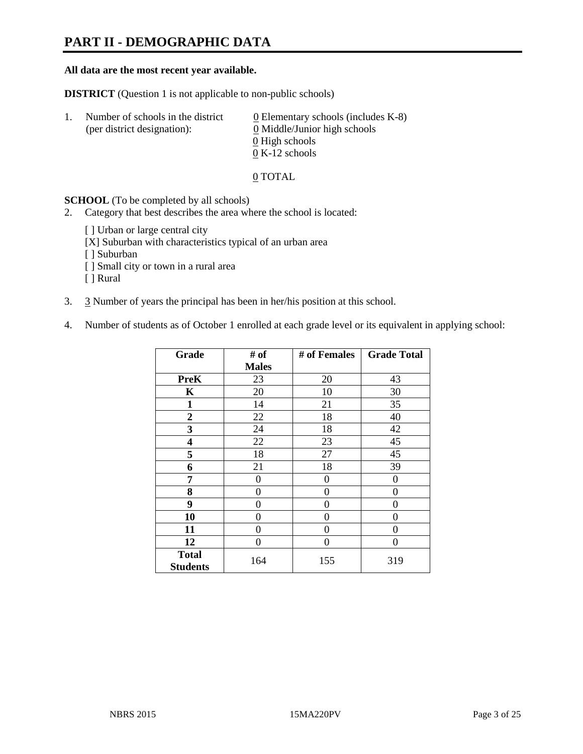# **PART II - DEMOGRAPHIC DATA**

#### **All data are the most recent year available.**

**DISTRICT** (Question 1 is not applicable to non-public schools)

| -1. | Number of schools in the district<br>(per district designation): | $\underline{0}$ Elementary schools (includes K-8)<br>0 Middle/Junior high schools<br>0 High schools |
|-----|------------------------------------------------------------------|-----------------------------------------------------------------------------------------------------|
|     |                                                                  |                                                                                                     |
|     |                                                                  | $0 K-12$ schools                                                                                    |

0 TOTAL

**SCHOOL** (To be completed by all schools)

- 2. Category that best describes the area where the school is located:
	- [ ] Urban or large central city
	- [X] Suburban with characteristics typical of an urban area
	- [ ] Suburban
	- [ ] Small city or town in a rural area
	- [ ] Rural
- 3. 3 Number of years the principal has been in her/his position at this school.
- 4. Number of students as of October 1 enrolled at each grade level or its equivalent in applying school:

| Grade                           | # of         | # of Females | <b>Grade Total</b> |
|---------------------------------|--------------|--------------|--------------------|
|                                 | <b>Males</b> |              |                    |
| <b>PreK</b>                     | 23           | 20           | 43                 |
| K                               | 20           | 10           | 30                 |
| $\mathbf{1}$                    | 14           | 21           | 35                 |
| $\mathbf{2}$                    | 22           | 18           | 40                 |
| 3                               | 24           | 18           | 42                 |
| 4                               | 22           | 23           | 45                 |
| 5                               | 18           | 27           | 45                 |
| 6                               | 21           | 18           | 39                 |
| 7                               | $\theta$     | $\theta$     | 0                  |
| 8                               | 0            | 0            | 0                  |
| 9                               | 0            | 0            | $\theta$           |
| 10                              | 0            | 0            | 0                  |
| 11                              | 0            | 0            | 0                  |
| 12                              | 0            | 0            | 0                  |
| <b>Total</b><br><b>Students</b> | 164          | 155          | 319                |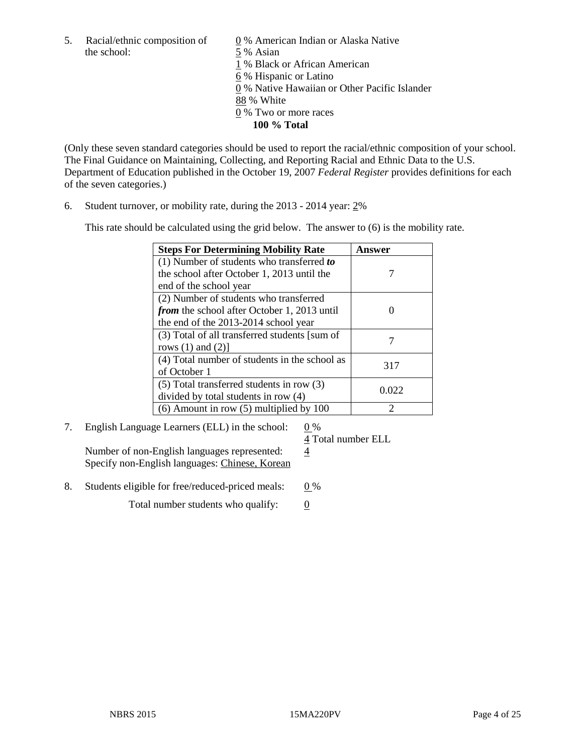5. Racial/ethnic composition of  $\qquad 0\%$  American Indian or Alaska Native the school: 5 % Asian

 % Black or African American % Hispanic or Latino % Native Hawaiian or Other Pacific Islander 88 % White % Two or more races **100 % Total**

(Only these seven standard categories should be used to report the racial/ethnic composition of your school. The Final Guidance on Maintaining, Collecting, and Reporting Racial and Ethnic Data to the U.S. Department of Education published in the October 19, 2007 *Federal Register* provides definitions for each of the seven categories.)

6. Student turnover, or mobility rate, during the 2013 - 2014 year: 2%

This rate should be calculated using the grid below. The answer to (6) is the mobility rate.

| <b>Steps For Determining Mobility Rate</b>         | Answer |
|----------------------------------------------------|--------|
| (1) Number of students who transferred to          |        |
| the school after October 1, 2013 until the         |        |
| end of the school year                             |        |
| (2) Number of students who transferred             |        |
| <i>from</i> the school after October 1, 2013 until |        |
| the end of the 2013-2014 school year               |        |
| (3) Total of all transferred students [sum of      |        |
| rows $(1)$ and $(2)$ ]                             |        |
| (4) Total number of students in the school as      | 317    |
| of October 1                                       |        |
| $(5)$ Total transferred students in row $(3)$      | 0.022  |
| divided by total students in row (4)               |        |
| $(6)$ Amount in row $(5)$ multiplied by 100        | っ      |

7. English Language Learners (ELL) in the school: 0 %

Number of non-English languages represented:  $\frac{4}{5}$ Specify non-English languages: Chinese, Korean

4 Total number ELL

8. Students eligible for free/reduced-priced meals:  $0\%$ 

Total number students who qualify:  $\qquad 0$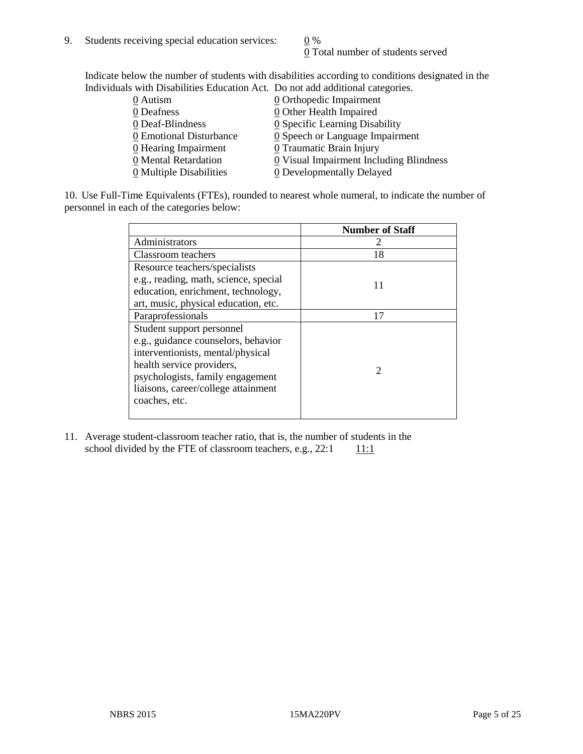0 Total number of students served

Indicate below the number of students with disabilities according to conditions designated in the Individuals with Disabilities Education Act. Do not add additional categories.

| 0 Autism                           | $\underline{0}$ Orthopedic Impairment         |
|------------------------------------|-----------------------------------------------|
| 0 Deafness                         | 0 Other Health Impaired                       |
| 0 Deaf-Blindness                   | 0 Specific Learning Disability                |
| 0 Emotional Disturbance            | $\underline{0}$ Speech or Language Impairment |
| $\underline{0}$ Hearing Impairment | 0 Traumatic Brain Injury                      |
| 0 Mental Retardation               | 0 Visual Impairment Including Blindness       |
| 0 Multiple Disabilities            | 0 Developmentally Delayed                     |
|                                    |                                               |

10. Use Full-Time Equivalents (FTEs), rounded to nearest whole numeral, to indicate the number of personnel in each of the categories below:

|                                       | <b>Number of Staff</b> |
|---------------------------------------|------------------------|
| Administrators                        |                        |
| Classroom teachers                    | 18                     |
| Resource teachers/specialists         |                        |
| e.g., reading, math, science, special | 11                     |
| education, enrichment, technology,    |                        |
| art, music, physical education, etc.  |                        |
| Paraprofessionals                     | 17                     |
| Student support personnel             |                        |
| e.g., guidance counselors, behavior   |                        |
| interventionists, mental/physical     |                        |
| health service providers,             | 2                      |
| psychologists, family engagement      |                        |
| liaisons, career/college attainment   |                        |
| coaches, etc.                         |                        |
|                                       |                        |

11. Average student-classroom teacher ratio, that is, the number of students in the school divided by the FTE of classroom teachers, e.g.,  $22:1$  11:1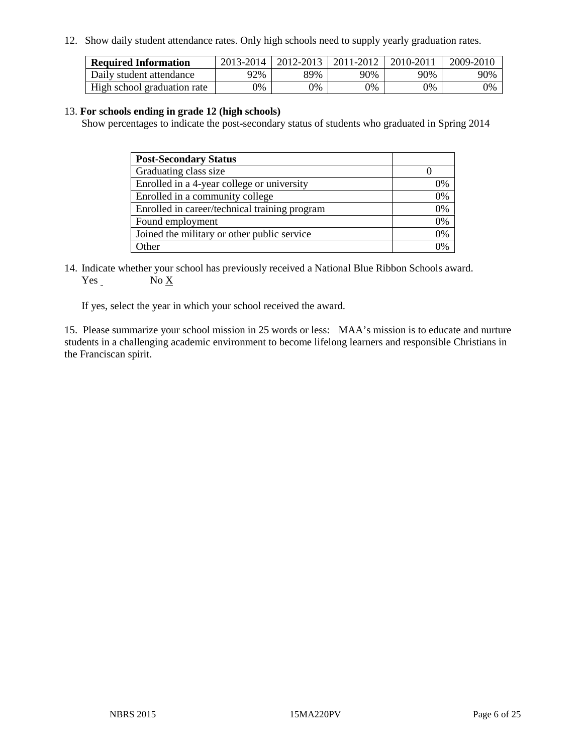12. Show daily student attendance rates. Only high schools need to supply yearly graduation rates.

| <b>Required Information</b> | 2013-2014 | 2012-2013 | 2011-2012 | 2010-2011 | 2009-2010 |
|-----------------------------|-----------|-----------|-----------|-----------|-----------|
| Daily student attendance    | $2\%$     | 89%       | 90%       | 90%       | 90%       |
| High school graduation rate | 9%        | 0%        | $0\%$     | 9%        | 0%        |

#### 13. **For schools ending in grade 12 (high schools)**

Show percentages to indicate the post-secondary status of students who graduated in Spring 2014

| <b>Post-Secondary Status</b>                  |    |
|-----------------------------------------------|----|
| Graduating class size                         |    |
| Enrolled in a 4-year college or university    | 0% |
| Enrolled in a community college               | 0% |
| Enrolled in career/technical training program | 0% |
| Found employment                              | 0% |
| Joined the military or other public service   | 0% |
| Other                                         |    |

14. Indicate whether your school has previously received a National Blue Ribbon Schools award. Yes No X

If yes, select the year in which your school received the award.

15. Please summarize your school mission in 25 words or less: MAA's mission is to educate and nurture students in a challenging academic environment to become lifelong learners and responsible Christians in the Franciscan spirit.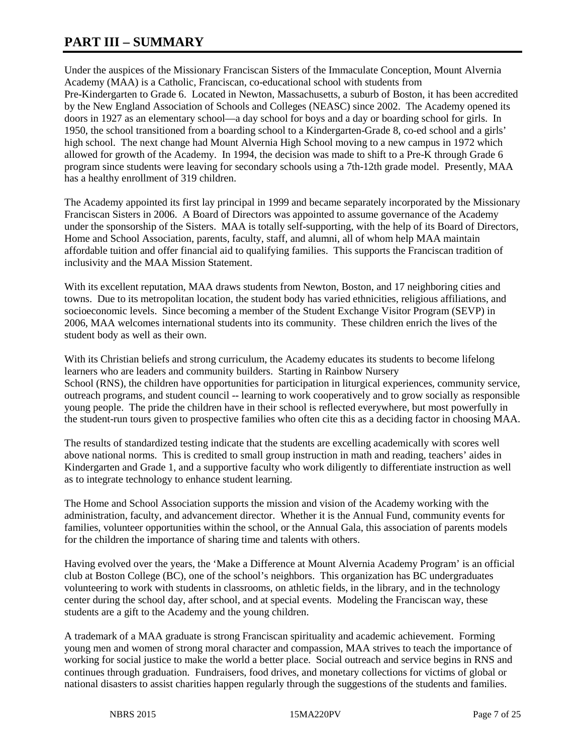# **PART III – SUMMARY**

Under the auspices of the Missionary Franciscan Sisters of the Immaculate Conception, Mount Alvernia Academy (MAA) is a Catholic, Franciscan, co-educational school with students from Pre-Kindergarten to Grade 6. Located in Newton, Massachusetts, a suburb of Boston, it has been accredited by the New England Association of Schools and Colleges (NEASC) since 2002. The Academy opened its doors in 1927 as an elementary school—a day school for boys and a day or boarding school for girls. In 1950, the school transitioned from a boarding school to a Kindergarten-Grade 8, co-ed school and a girls' high school. The next change had Mount Alvernia High School moving to a new campus in 1972 which allowed for growth of the Academy. In 1994, the decision was made to shift to a Pre-K through Grade 6 program since students were leaving for secondary schools using a 7th-12th grade model. Presently, MAA has a healthy enrollment of 319 children.

The Academy appointed its first lay principal in 1999 and became separately incorporated by the Missionary Franciscan Sisters in 2006. A Board of Directors was appointed to assume governance of the Academy under the sponsorship of the Sisters. MAA is totally self-supporting, with the help of its Board of Directors, Home and School Association, parents, faculty, staff, and alumni, all of whom help MAA maintain affordable tuition and offer financial aid to qualifying families. This supports the Franciscan tradition of inclusivity and the MAA Mission Statement.

With its excellent reputation, MAA draws students from Newton, Boston, and 17 neighboring cities and towns. Due to its metropolitan location, the student body has varied ethnicities, religious affiliations, and socioeconomic levels. Since becoming a member of the Student Exchange Visitor Program (SEVP) in 2006, MAA welcomes international students into its community. These children enrich the lives of the student body as well as their own.

With its Christian beliefs and strong curriculum, the Academy educates its students to become lifelong learners who are leaders and community builders. Starting in Rainbow Nursery School (RNS), the children have opportunities for participation in liturgical experiences, community service, outreach programs, and student council -- learning to work cooperatively and to grow socially as responsible young people. The pride the children have in their school is reflected everywhere, but most powerfully in the student-run tours given to prospective families who often cite this as a deciding factor in choosing MAA.

The results of standardized testing indicate that the students are excelling academically with scores well above national norms. This is credited to small group instruction in math and reading, teachers' aides in Kindergarten and Grade 1, and a supportive faculty who work diligently to differentiate instruction as well as to integrate technology to enhance student learning.

The Home and School Association supports the mission and vision of the Academy working with the administration, faculty, and advancement director. Whether it is the Annual Fund, community events for families, volunteer opportunities within the school, or the Annual Gala, this association of parents models for the children the importance of sharing time and talents with others.

Having evolved over the years, the 'Make a Difference at Mount Alvernia Academy Program' is an official club at Boston College (BC), one of the school's neighbors. This organization has BC undergraduates volunteering to work with students in classrooms, on athletic fields, in the library, and in the technology center during the school day, after school, and at special events. Modeling the Franciscan way, these students are a gift to the Academy and the young children.

A trademark of a MAA graduate is strong Franciscan spirituality and academic achievement. Forming young men and women of strong moral character and compassion, MAA strives to teach the importance of working for social justice to make the world a better place. Social outreach and service begins in RNS and continues through graduation. Fundraisers, food drives, and monetary collections for victims of global or national disasters to assist charities happen regularly through the suggestions of the students and families.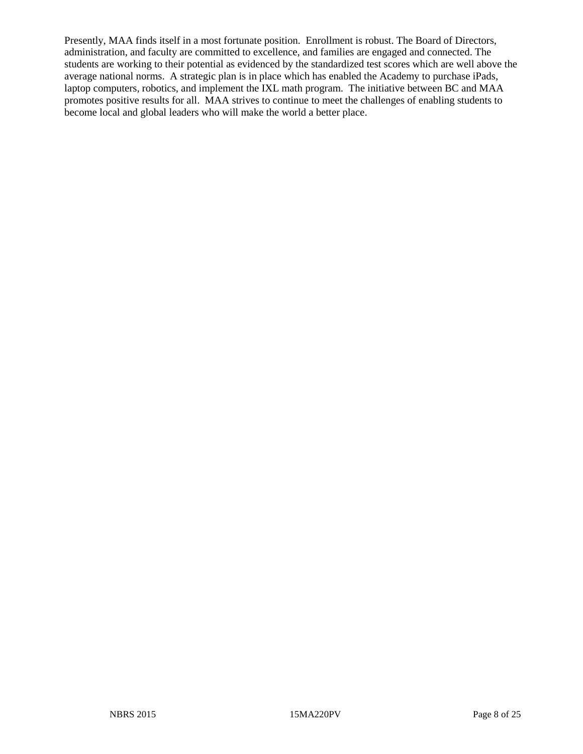Presently, MAA finds itself in a most fortunate position. Enrollment is robust. The Board of Directors, administration, and faculty are committed to excellence, and families are engaged and connected. The students are working to their potential as evidenced by the standardized test scores which are well above the average national norms. A strategic plan is in place which has enabled the Academy to purchase iPads, laptop computers, robotics, and implement the IXL math program. The initiative between BC and MAA promotes positive results for all. MAA strives to continue to meet the challenges of enabling students to become local and global leaders who will make the world a better place.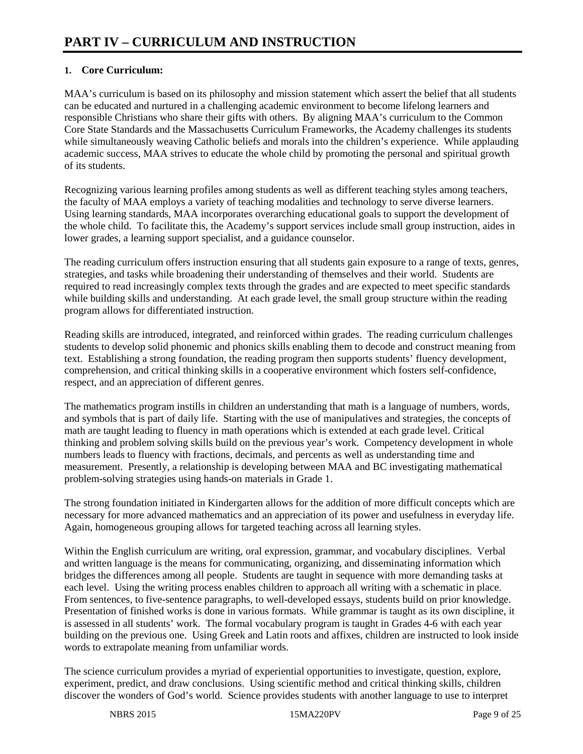## **1. Core Curriculum:**

MAA's curriculum is based on its philosophy and mission statement which assert the belief that all students can be educated and nurtured in a challenging academic environment to become lifelong learners and responsible Christians who share their gifts with others. By aligning MAA's curriculum to the Common Core State Standards and the Massachusetts Curriculum Frameworks, the Academy challenges its students while simultaneously weaving Catholic beliefs and morals into the children's experience. While applauding academic success, MAA strives to educate the whole child by promoting the personal and spiritual growth of its students.

Recognizing various learning profiles among students as well as different teaching styles among teachers, the faculty of MAA employs a variety of teaching modalities and technology to serve diverse learners. Using learning standards, MAA incorporates overarching educational goals to support the development of the whole child. To facilitate this, the Academy's support services include small group instruction, aides in lower grades, a learning support specialist, and a guidance counselor.

The reading curriculum offers instruction ensuring that all students gain exposure to a range of texts, genres, strategies, and tasks while broadening their understanding of themselves and their world. Students are required to read increasingly complex texts through the grades and are expected to meet specific standards while building skills and understanding. At each grade level, the small group structure within the reading program allows for differentiated instruction.

Reading skills are introduced, integrated, and reinforced within grades. The reading curriculum challenges students to develop solid phonemic and phonics skills enabling them to decode and construct meaning from text. Establishing a strong foundation, the reading program then supports students' fluency development, comprehension, and critical thinking skills in a cooperative environment which fosters self-confidence, respect, and an appreciation of different genres.

The mathematics program instills in children an understanding that math is a language of numbers, words, and symbols that is part of daily life. Starting with the use of manipulatives and strategies, the concepts of math are taught leading to fluency in math operations which is extended at each grade level. Critical thinking and problem solving skills build on the previous year's work. Competency development in whole numbers leads to fluency with fractions, decimals, and percents as well as understanding time and measurement. Presently, a relationship is developing between MAA and BC investigating mathematical problem-solving strategies using hands-on materials in Grade 1.

The strong foundation initiated in Kindergarten allows for the addition of more difficult concepts which are necessary for more advanced mathematics and an appreciation of its power and usefulness in everyday life. Again, homogeneous grouping allows for targeted teaching across all learning styles.

Within the English curriculum are writing, oral expression, grammar, and vocabulary disciplines. Verbal and written language is the means for communicating, organizing, and disseminating information which bridges the differences among all people. Students are taught in sequence with more demanding tasks at each level. Using the writing process enables children to approach all writing with a schematic in place. From sentences, to five-sentence paragraphs, to well-developed essays, students build on prior knowledge. Presentation of finished works is done in various formats. While grammar is taught as its own discipline, it is assessed in all students' work. The formal vocabulary program is taught in Grades 4-6 with each year building on the previous one. Using Greek and Latin roots and affixes, children are instructed to look inside words to extrapolate meaning from unfamiliar words.

The science curriculum provides a myriad of experiential opportunities to investigate, question, explore, experiment, predict, and draw conclusions. Using scientific method and critical thinking skills, children discover the wonders of God's world. Science provides students with another language to use to interpret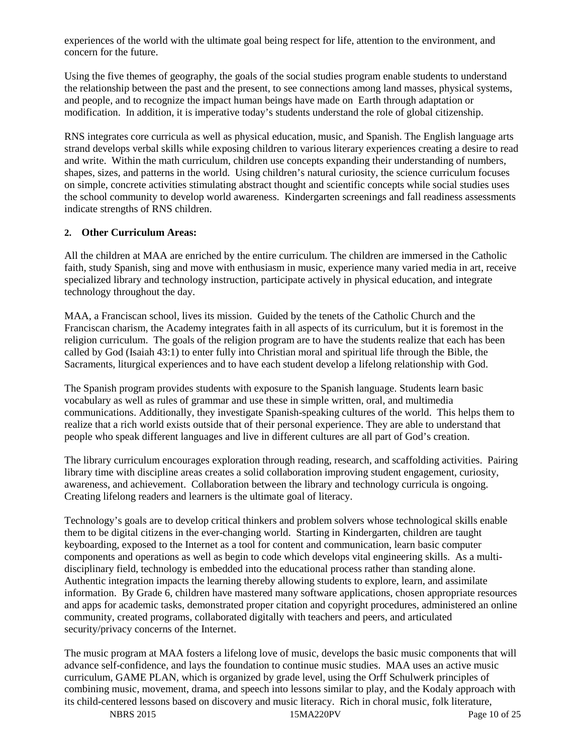experiences of the world with the ultimate goal being respect for life, attention to the environment, and concern for the future.

Using the five themes of geography, the goals of the social studies program enable students to understand the relationship between the past and the present, to see connections among land masses, physical systems, and people, and to recognize the impact human beings have made on Earth through adaptation or modification. In addition, it is imperative today's students understand the role of global citizenship.

RNS integrates core curricula as well as physical education, music, and Spanish. The English language arts strand develops verbal skills while exposing children to various literary experiences creating a desire to read and write. Within the math curriculum, children use concepts expanding their understanding of numbers, shapes, sizes, and patterns in the world. Using children's natural curiosity, the science curriculum focuses on simple, concrete activities stimulating abstract thought and scientific concepts while social studies uses the school community to develop world awareness. Kindergarten screenings and fall readiness assessments indicate strengths of RNS children.

#### **2. Other Curriculum Areas:**

All the children at MAA are enriched by the entire curriculum. The children are immersed in the Catholic faith, study Spanish, sing and move with enthusiasm in music, experience many varied media in art, receive specialized library and technology instruction, participate actively in physical education, and integrate technology throughout the day.

MAA, a Franciscan school, lives its mission. Guided by the tenets of the Catholic Church and the Franciscan charism, the Academy integrates faith in all aspects of its curriculum, but it is foremost in the religion curriculum. The goals of the religion program are to have the students realize that each has been called by God (Isaiah 43:1) to enter fully into Christian moral and spiritual life through the Bible, the Sacraments, liturgical experiences and to have each student develop a lifelong relationship with God.

The Spanish program provides students with exposure to the Spanish language. Students learn basic vocabulary as well as rules of grammar and use these in simple written, oral, and multimedia communications. Additionally, they investigate Spanish-speaking cultures of the world. This helps them to realize that a rich world exists outside that of their personal experience. They are able to understand that people who speak different languages and live in different cultures are all part of God's creation.

The library curriculum encourages exploration through reading, research, and scaffolding activities. Pairing library time with discipline areas creates a solid collaboration improving student engagement, curiosity, awareness, and achievement. Collaboration between the library and technology curricula is ongoing. Creating lifelong readers and learners is the ultimate goal of literacy.

Technology's goals are to develop critical thinkers and problem solvers whose technological skills enable them to be digital citizens in the ever-changing world. Starting in Kindergarten, children are taught keyboarding, exposed to the Internet as a tool for content and communication, learn basic computer components and operations as well as begin to code which develops vital engineering skills. As a multidisciplinary field, technology is embedded into the educational process rather than standing alone. Authentic integration impacts the learning thereby allowing students to explore, learn, and assimilate information. By Grade 6, children have mastered many software applications, chosen appropriate resources and apps for academic tasks, demonstrated proper citation and copyright procedures, administered an online community, created programs, collaborated digitally with teachers and peers, and articulated security/privacy concerns of the Internet.

The music program at MAA fosters a lifelong love of music, develops the basic music components that will advance self-confidence, and lays the foundation to continue music studies. MAA uses an active music curriculum, GAME PLAN, which is organized by grade level, using the Orff Schulwerk principles of combining music, movement, drama, and speech into lessons similar to play, and the Kodaly approach with its child-centered lessons based on discovery and music literacy. Rich in choral music, folk literature,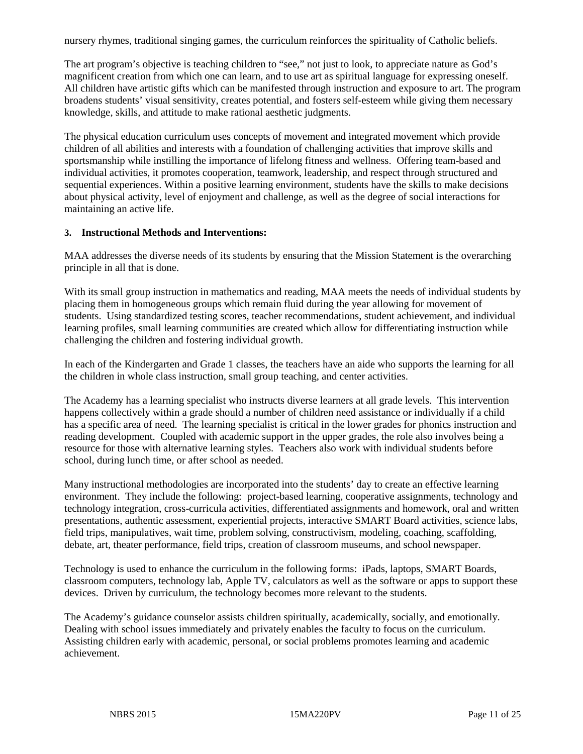nursery rhymes, traditional singing games, the curriculum reinforces the spirituality of Catholic beliefs.

The art program's objective is teaching children to "see," not just to look, to appreciate nature as God's magnificent creation from which one can learn, and to use art as spiritual language for expressing oneself. All children have artistic gifts which can be manifested through instruction and exposure to art. The program broadens students' visual sensitivity, creates potential, and fosters self-esteem while giving them necessary knowledge, skills, and attitude to make rational aesthetic judgments.

The physical education curriculum uses concepts of movement and integrated movement which provide children of all abilities and interests with a foundation of challenging activities that improve skills and sportsmanship while instilling the importance of lifelong fitness and wellness. Offering team-based and individual activities, it promotes cooperation, teamwork, leadership, and respect through structured and sequential experiences. Within a positive learning environment, students have the skills to make decisions about physical activity, level of enjoyment and challenge, as well as the degree of social interactions for maintaining an active life.

#### **3. Instructional Methods and Interventions:**

MAA addresses the diverse needs of its students by ensuring that the Mission Statement is the overarching principle in all that is done.

With its small group instruction in mathematics and reading, MAA meets the needs of individual students by placing them in homogeneous groups which remain fluid during the year allowing for movement of students. Using standardized testing scores, teacher recommendations, student achievement, and individual learning profiles, small learning communities are created which allow for differentiating instruction while challenging the children and fostering individual growth.

In each of the Kindergarten and Grade 1 classes, the teachers have an aide who supports the learning for all the children in whole class instruction, small group teaching, and center activities.

The Academy has a learning specialist who instructs diverse learners at all grade levels. This intervention happens collectively within a grade should a number of children need assistance or individually if a child has a specific area of need. The learning specialist is critical in the lower grades for phonics instruction and reading development. Coupled with academic support in the upper grades, the role also involves being a resource for those with alternative learning styles. Teachers also work with individual students before school, during lunch time, or after school as needed.

Many instructional methodologies are incorporated into the students' day to create an effective learning environment. They include the following: project-based learning, cooperative assignments, technology and technology integration, cross-curricula activities, differentiated assignments and homework, oral and written presentations, authentic assessment, experiential projects, interactive SMART Board activities, science labs, field trips, manipulatives, wait time, problem solving, constructivism, modeling, coaching, scaffolding, debate, art, theater performance, field trips, creation of classroom museums, and school newspaper.

Technology is used to enhance the curriculum in the following forms: iPads, laptops, SMART Boards, classroom computers, technology lab, Apple TV, calculators as well as the software or apps to support these devices. Driven by curriculum, the technology becomes more relevant to the students.

The Academy's guidance counselor assists children spiritually, academically, socially, and emotionally. Dealing with school issues immediately and privately enables the faculty to focus on the curriculum. Assisting children early with academic, personal, or social problems promotes learning and academic achievement.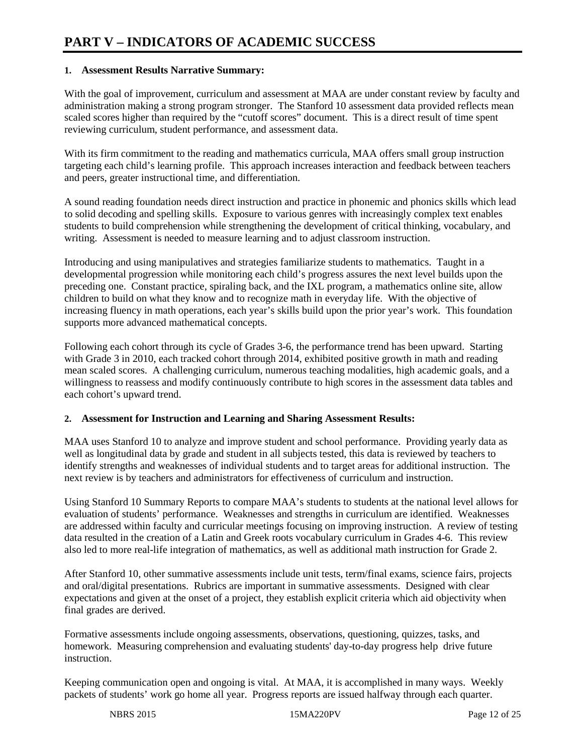#### **1. Assessment Results Narrative Summary:**

With the goal of improvement, curriculum and assessment at MAA are under constant review by faculty and administration making a strong program stronger. The Stanford 10 assessment data provided reflects mean scaled scores higher than required by the "cutoff scores" document. This is a direct result of time spent reviewing curriculum, student performance, and assessment data.

With its firm commitment to the reading and mathematics curricula, MAA offers small group instruction targeting each child's learning profile. This approach increases interaction and feedback between teachers and peers, greater instructional time, and differentiation.

A sound reading foundation needs direct instruction and practice in phonemic and phonics skills which lead to solid decoding and spelling skills. Exposure to various genres with increasingly complex text enables students to build comprehension while strengthening the development of critical thinking, vocabulary, and writing. Assessment is needed to measure learning and to adjust classroom instruction.

Introducing and using manipulatives and strategies familiarize students to mathematics. Taught in a developmental progression while monitoring each child's progress assures the next level builds upon the preceding one. Constant practice, spiraling back, and the IXL program, a mathematics online site, allow children to build on what they know and to recognize math in everyday life. With the objective of increasing fluency in math operations, each year's skills build upon the prior year's work. This foundation supports more advanced mathematical concepts.

Following each cohort through its cycle of Grades 3-6, the performance trend has been upward. Starting with Grade 3 in 2010, each tracked cohort through 2014, exhibited positive growth in math and reading mean scaled scores. A challenging curriculum, numerous teaching modalities, high academic goals, and a willingness to reassess and modify continuously contribute to high scores in the assessment data tables and each cohort's upward trend.

#### **2. Assessment for Instruction and Learning and Sharing Assessment Results:**

MAA uses Stanford 10 to analyze and improve student and school performance. Providing yearly data as well as longitudinal data by grade and student in all subjects tested, this data is reviewed by teachers to identify strengths and weaknesses of individual students and to target areas for additional instruction. The next review is by teachers and administrators for effectiveness of curriculum and instruction.

Using Stanford 10 Summary Reports to compare MAA's students to students at the national level allows for evaluation of students' performance. Weaknesses and strengths in curriculum are identified. Weaknesses are addressed within faculty and curricular meetings focusing on improving instruction. A review of testing data resulted in the creation of a Latin and Greek roots vocabulary curriculum in Grades 4-6. This review also led to more real-life integration of mathematics, as well as additional math instruction for Grade 2.

After Stanford 10, other summative assessments include unit tests, term/final exams, science fairs, projects and oral/digital presentations. Rubrics are important in summative assessments. Designed with clear expectations and given at the onset of a project, they establish explicit criteria which aid objectivity when final grades are derived.

Formative assessments include ongoing assessments, observations, questioning, quizzes, tasks, and homework. Measuring comprehension and evaluating students' day-to-day progress help drive future instruction.

Keeping communication open and ongoing is vital. At MAA, it is accomplished in many ways. Weekly packets of students' work go home all year. Progress reports are issued halfway through each quarter.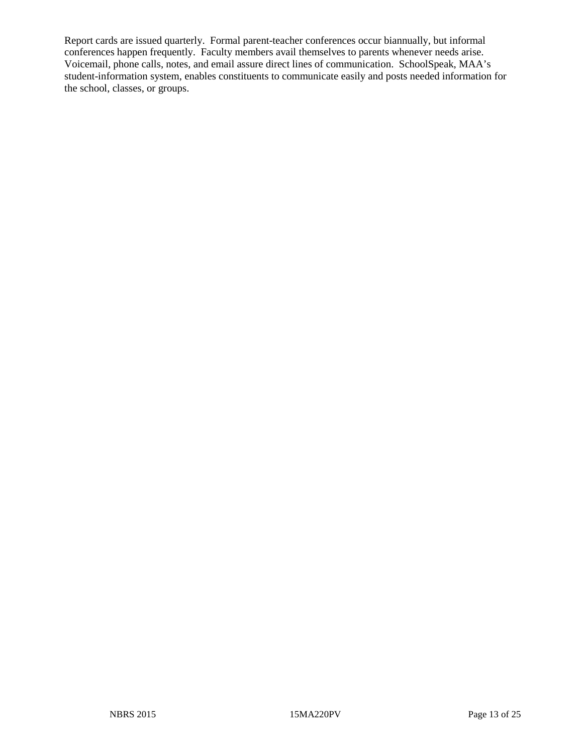Report cards are issued quarterly. Formal parent-teacher conferences occur biannually, but informal conferences happen frequently. Faculty members avail themselves to parents whenever needs arise. Voicemail, phone calls, notes, and email assure direct lines of communication. SchoolSpeak, MAA's student-information system, enables constituents to communicate easily and posts needed information for the school, classes, or groups.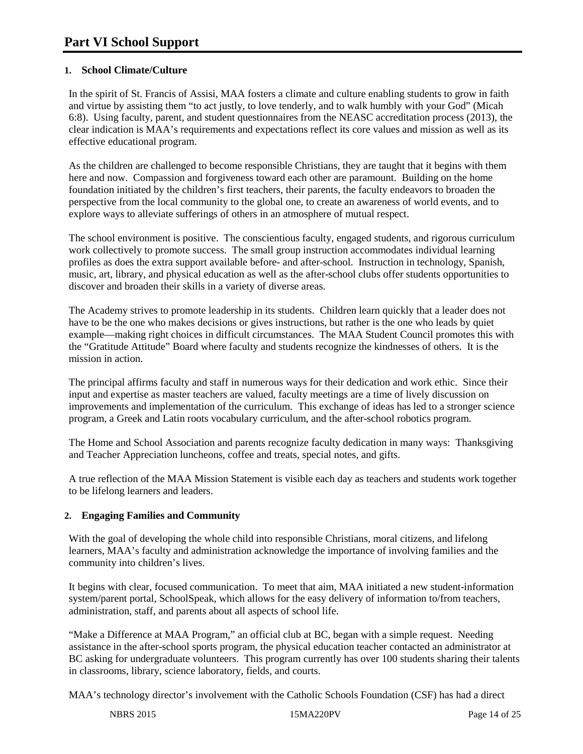## **1. School Climate/Culture**

In the spirit of St. Francis of Assisi, MAA fosters a climate and culture enabling students to grow in faith and virtue by assisting them "to act justly, to love tenderly, and to walk humbly with your God" (Micah 6:8). Using faculty, parent, and student questionnaires from the NEASC accreditation process (2013), the clear indication is MAA's requirements and expectations reflect its core values and mission as well as its effective educational program.

As the children are challenged to become responsible Christians, they are taught that it begins with them here and now. Compassion and forgiveness toward each other are paramount. Building on the home foundation initiated by the children's first teachers, their parents, the faculty endeavors to broaden the perspective from the local community to the global one, to create an awareness of world events, and to explore ways to alleviate sufferings of others in an atmosphere of mutual respect.

The school environment is positive. The conscientious faculty, engaged students, and rigorous curriculum work collectively to promote success. The small group instruction accommodates individual learning profiles as does the extra support available before- and after-school. Instruction in technology, Spanish, music, art, library, and physical education as well as the after-school clubs offer students opportunities to discover and broaden their skills in a variety of diverse areas.

The Academy strives to promote leadership in its students. Children learn quickly that a leader does not have to be the one who makes decisions or gives instructions, but rather is the one who leads by quiet example—making right choices in difficult circumstances. The MAA Student Council promotes this with the "Gratitude Attitude" Board where faculty and students recognize the kindnesses of others. It is the mission in action.

The principal affirms faculty and staff in numerous ways for their dedication and work ethic. Since their input and expertise as master teachers are valued, faculty meetings are a time of lively discussion on improvements and implementation of the curriculum. This exchange of ideas has led to a stronger science program, a Greek and Latin roots vocabulary curriculum, and the after-school robotics program.

The Home and School Association and parents recognize faculty dedication in many ways: Thanksgiving and Teacher Appreciation luncheons, coffee and treats, special notes, and gifts.

A true reflection of the MAA Mission Statement is visible each day as teachers and students work together to be lifelong learners and leaders.

## **2. Engaging Families and Community**

With the goal of developing the whole child into responsible Christians, moral citizens, and lifelong learners, MAA's faculty and administration acknowledge the importance of involving families and the community into children's lives.

It begins with clear, focused communication. To meet that aim, MAA initiated a new student-information system/parent portal, SchoolSpeak, which allows for the easy delivery of information to/from teachers, administration, staff, and parents about all aspects of school life.

"Make a Difference at MAA Program," an official club at BC, began with a simple request. Needing assistance in the after-school sports program, the physical education teacher contacted an administrator at BC asking for undergraduate volunteers. This program currently has over 100 students sharing their talents in classrooms, library, science laboratory, fields, and courts.

MAA's technology director's involvement with the Catholic Schools Foundation (CSF) has had a direct

NBRS 2015 15MA220PV Page 14 of 25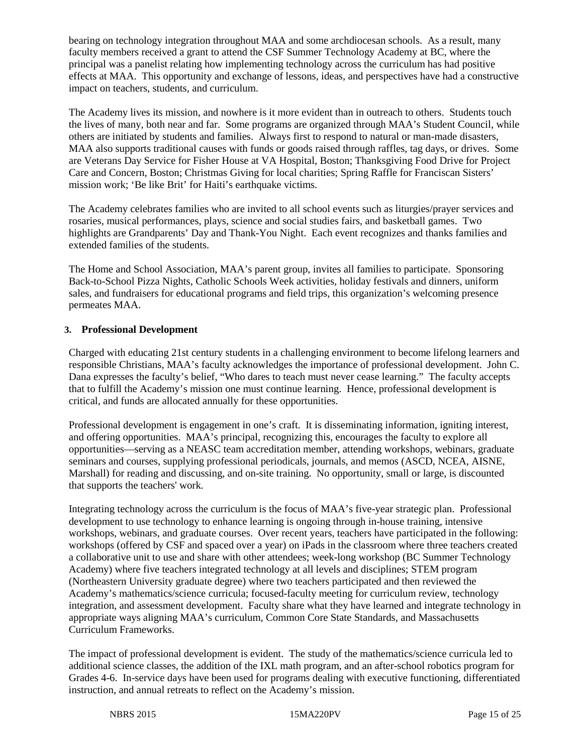bearing on technology integration throughout MAA and some archdiocesan schools. As a result, many faculty members received a grant to attend the CSF Summer Technology Academy at BC, where the principal was a panelist relating how implementing technology across the curriculum has had positive effects at MAA. This opportunity and exchange of lessons, ideas, and perspectives have had a constructive impact on teachers, students, and curriculum.

The Academy lives its mission, and nowhere is it more evident than in outreach to others. Students touch the lives of many, both near and far. Some programs are organized through MAA's Student Council, while others are initiated by students and families. Always first to respond to natural or man-made disasters, MAA also supports traditional causes with funds or goods raised through raffles, tag days, or drives. Some are Veterans Day Service for Fisher House at VA Hospital, Boston; Thanksgiving Food Drive for Project Care and Concern, Boston; Christmas Giving for local charities; Spring Raffle for Franciscan Sisters' mission work; 'Be like Brit' for Haiti's earthquake victims.

The Academy celebrates families who are invited to all school events such as liturgies/prayer services and rosaries, musical performances, plays, science and social studies fairs, and basketball games. Two highlights are Grandparents' Day and Thank-You Night. Each event recognizes and thanks families and extended families of the students.

The Home and School Association, MAA's parent group, invites all families to participate. Sponsoring Back-to-School Pizza Nights, Catholic Schools Week activities, holiday festivals and dinners, uniform sales, and fundraisers for educational programs and field trips, this organization's welcoming presence permeates MAA.

#### **3. Professional Development**

Charged with educating 21st century students in a challenging environment to become lifelong learners and responsible Christians, MAA's faculty acknowledges the importance of professional development. John C. Dana expresses the faculty's belief, "Who dares to teach must never cease learning." The faculty accepts that to fulfill the Academy's mission one must continue learning. Hence, professional development is critical, and funds are allocated annually for these opportunities.

Professional development is engagement in one's craft. It is disseminating information, igniting interest, and offering opportunities. MAA's principal, recognizing this, encourages the faculty to explore all opportunities—serving as a NEASC team accreditation member, attending workshops, webinars, graduate seminars and courses, supplying professional periodicals, journals, and memos (ASCD, NCEA, AISNE, Marshall) for reading and discussing, and on-site training. No opportunity, small or large, is discounted that supports the teachers' work.

Integrating technology across the curriculum is the focus of MAA's five-year strategic plan. Professional development to use technology to enhance learning is ongoing through in-house training, intensive workshops, webinars, and graduate courses. Over recent years, teachers have participated in the following: workshops (offered by CSF and spaced over a year) on iPads in the classroom where three teachers created a collaborative unit to use and share with other attendees; week-long workshop (BC Summer Technology Academy) where five teachers integrated technology at all levels and disciplines; STEM program (Northeastern University graduate degree) where two teachers participated and then reviewed the Academy's mathematics/science curricula; focused-faculty meeting for curriculum review, technology integration, and assessment development. Faculty share what they have learned and integrate technology in appropriate ways aligning MAA's curriculum, Common Core State Standards, and Massachusetts Curriculum Frameworks.

The impact of professional development is evident. The study of the mathematics/science curricula led to additional science classes, the addition of the IXL math program, and an after-school robotics program for Grades 4-6. In-service days have been used for programs dealing with executive functioning, differentiated instruction, and annual retreats to reflect on the Academy's mission.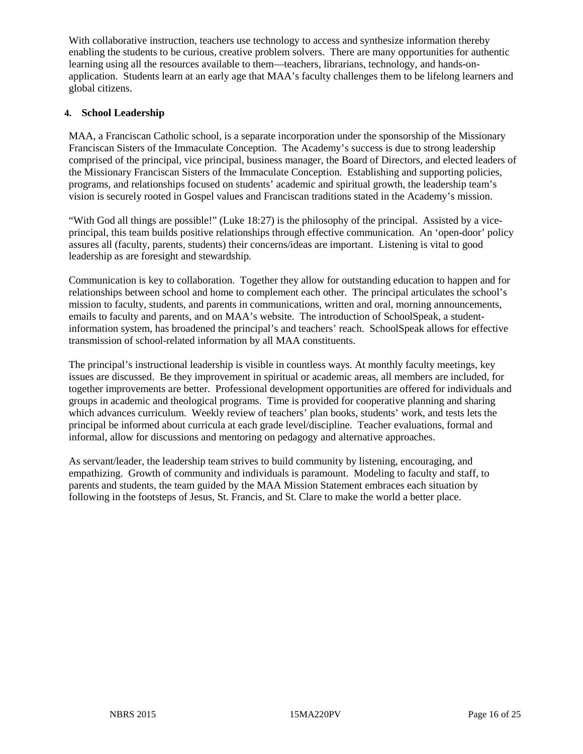With collaborative instruction, teachers use technology to access and synthesize information thereby enabling the students to be curious, creative problem solvers. There are many opportunities for authentic learning using all the resources available to them—teachers, librarians, technology, and hands-onapplication. Students learn at an early age that MAA's faculty challenges them to be lifelong learners and global citizens.

#### **4. School Leadership**

MAA, a Franciscan Catholic school, is a separate incorporation under the sponsorship of the Missionary Franciscan Sisters of the Immaculate Conception. The Academy's success is due to strong leadership comprised of the principal, vice principal, business manager, the Board of Directors, and elected leaders of the Missionary Franciscan Sisters of the Immaculate Conception. Establishing and supporting policies, programs, and relationships focused on students' academic and spiritual growth, the leadership team's vision is securely rooted in Gospel values and Franciscan traditions stated in the Academy's mission.

"With God all things are possible!" (Luke 18:27) is the philosophy of the principal. Assisted by a viceprincipal, this team builds positive relationships through effective communication. An 'open-door' policy assures all (faculty, parents, students) their concerns/ideas are important. Listening is vital to good leadership as are foresight and stewardship.

Communication is key to collaboration. Together they allow for outstanding education to happen and for relationships between school and home to complement each other. The principal articulates the school's mission to faculty, students, and parents in communications, written and oral, morning announcements, emails to faculty and parents, and on MAA's website. The introduction of SchoolSpeak, a studentinformation system, has broadened the principal's and teachers' reach. SchoolSpeak allows for effective transmission of school-related information by all MAA constituents.

The principal's instructional leadership is visible in countless ways. At monthly faculty meetings, key issues are discussed. Be they improvement in spiritual or academic areas, all members are included, for together improvements are better. Professional development opportunities are offered for individuals and groups in academic and theological programs. Time is provided for cooperative planning and sharing which advances curriculum. Weekly review of teachers' plan books, students' work, and tests lets the principal be informed about curricula at each grade level/discipline. Teacher evaluations, formal and informal, allow for discussions and mentoring on pedagogy and alternative approaches.

As servant/leader, the leadership team strives to build community by listening, encouraging, and empathizing. Growth of community and individuals is paramount. Modeling to faculty and staff, to parents and students, the team guided by the MAA Mission Statement embraces each situation by following in the footsteps of Jesus, St. Francis, and St. Clare to make the world a better place.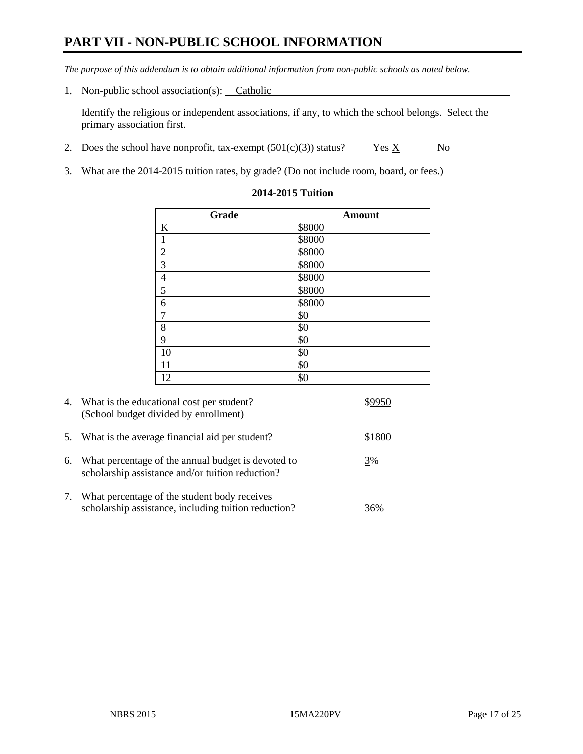# **PART VII - NON-PUBLIC SCHOOL INFORMATION**

*The purpose of this addendum is to obtain additional information from non-public schools as noted below.*

1. Non-public school association(s): Catholic

Identify the religious or independent associations, if any, to which the school belongs. Select the primary association first.

- 2. Does the school have nonprofit, tax-exempt  $(501(c)(3))$  status? Yes  $\underline{X}$  No
- 3. What are the 2014-2015 tuition rates, by grade? (Do not include room, board, or fees.)

| Grade          | <b>Amount</b> |
|----------------|---------------|
| $\bf K$        | \$8000        |
| $\mathbf{1}$   | \$8000        |
| $\overline{2}$ | \$8000        |
| 3              | \$8000        |
| $\overline{4}$ | \$8000        |
| 5              | \$8000        |
| 6              | \$8000        |
| $\overline{7}$ | \$0           |
| 8              | \$0           |
| 9              | \$0           |
| 10             | \$0           |
| 11             | \$0           |
| 12             | \$0           |

#### **2014-2015 Tuition**

| 4. | What is the educational cost per student?<br>(School budget divided by enrollment)                     |        |
|----|--------------------------------------------------------------------------------------------------------|--------|
| 5. | What is the average financial aid per student?                                                         | \$1800 |
| 6. | What percentage of the annual budget is devoted to<br>scholarship assistance and/or tuition reduction? | 3%     |
| 7. | What percentage of the student body receives<br>scholarship assistance, including tuition reduction?   | 36%    |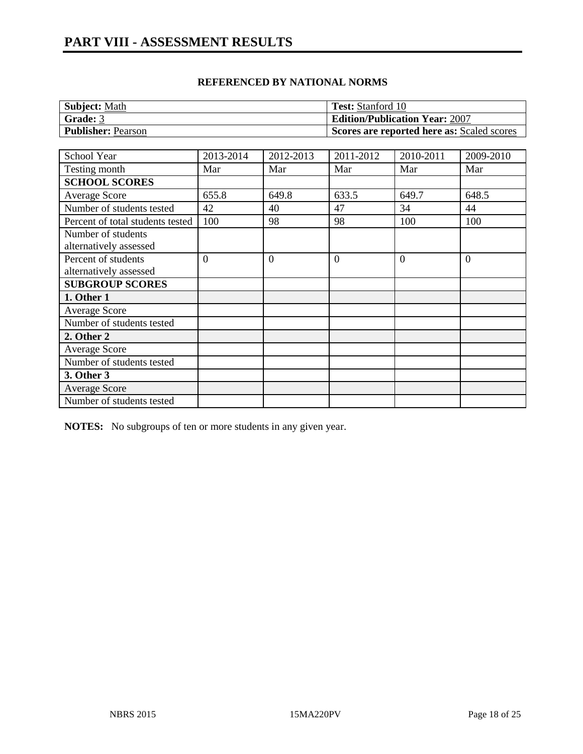| <b>Subject: Math</b>      | <b>Test:</b> Stanford 10                   |
|---------------------------|--------------------------------------------|
| <b>Grade: 3</b>           | <b>Edition/Publication Year: 2007</b>      |
| <b>Publisher: Pearson</b> | Scores are reported here as: Scaled scores |

| School Year                      | 2013-2014      | 2012-2013      | 2011-2012      | 2010-2011 | 2009-2010 |
|----------------------------------|----------------|----------------|----------------|-----------|-----------|
| Testing month                    | Mar            | Mar            | Mar            | Mar       | Mar       |
| <b>SCHOOL SCORES</b>             |                |                |                |           |           |
| <b>Average Score</b>             | 655.8          | 649.8          | 633.5          | 649.7     | 648.5     |
| Number of students tested        | 42             | 40             | 47             | 34        | 44        |
| Percent of total students tested | 100            | 98             | 98             | 100       | 100       |
| Number of students               |                |                |                |           |           |
| alternatively assessed           |                |                |                |           |           |
| Percent of students              | $\overline{0}$ | $\overline{0}$ | $\overline{0}$ | $\Omega$  | $\theta$  |
| alternatively assessed           |                |                |                |           |           |
| <b>SUBGROUP SCORES</b>           |                |                |                |           |           |
| 1. Other 1                       |                |                |                |           |           |
| <b>Average Score</b>             |                |                |                |           |           |
| Number of students tested        |                |                |                |           |           |
| 2. Other 2                       |                |                |                |           |           |
| Average Score                    |                |                |                |           |           |
| Number of students tested        |                |                |                |           |           |
| 3. Other 3                       |                |                |                |           |           |
| <b>Average Score</b>             |                |                |                |           |           |
| Number of students tested        |                |                |                |           |           |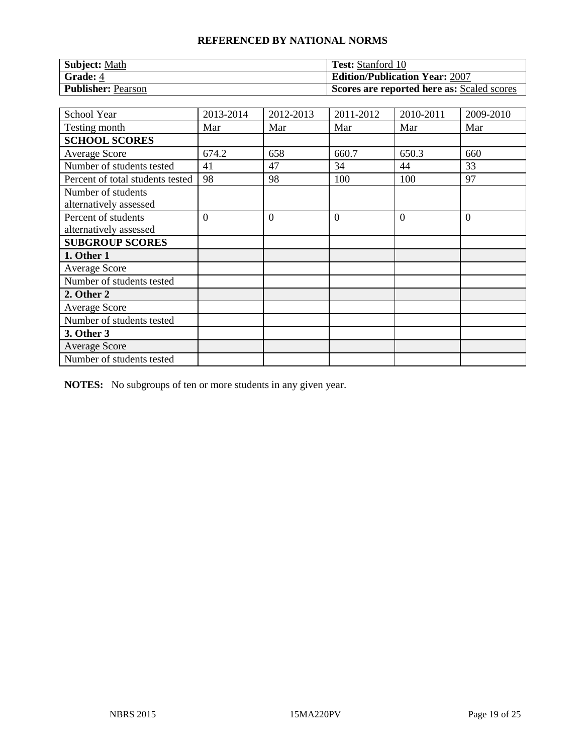| Subject: Math             | <b>Test:</b> Stanford 10                   |
|---------------------------|--------------------------------------------|
| Grade: 4                  | <b>Edition/Publication Year: 2007</b>      |
| <b>Publisher: Pearson</b> | Scores are reported here as: Scaled scores |

| School Year                                   | 2013-2014 | 2012-2013      | 2011-2012      | 2010-2011 | 2009-2010      |
|-----------------------------------------------|-----------|----------------|----------------|-----------|----------------|
| Testing month                                 | Mar       | Mar            | Mar            | Mar       | Mar            |
| <b>SCHOOL SCORES</b>                          |           |                |                |           |                |
| <b>Average Score</b>                          | 674.2     | 658            | 660.7          | 650.3     | 660            |
| Number of students tested                     | 41        | 47             | 34             | 44        | 33             |
| Percent of total students tested              | 98        | 98             | 100            | 100       | 97             |
| Number of students<br>alternatively assessed  |           |                |                |           |                |
| Percent of students<br>alternatively assessed | $\theta$  | $\overline{0}$ | $\overline{0}$ | $\Omega$  | $\overline{0}$ |
| <b>SUBGROUP SCORES</b>                        |           |                |                |           |                |
| 1. Other 1                                    |           |                |                |           |                |
| <b>Average Score</b>                          |           |                |                |           |                |
| Number of students tested                     |           |                |                |           |                |
| 2. Other 2                                    |           |                |                |           |                |
| <b>Average Score</b>                          |           |                |                |           |                |
| Number of students tested                     |           |                |                |           |                |
| 3. Other 3                                    |           |                |                |           |                |
| Average Score                                 |           |                |                |           |                |
| Number of students tested                     |           |                |                |           |                |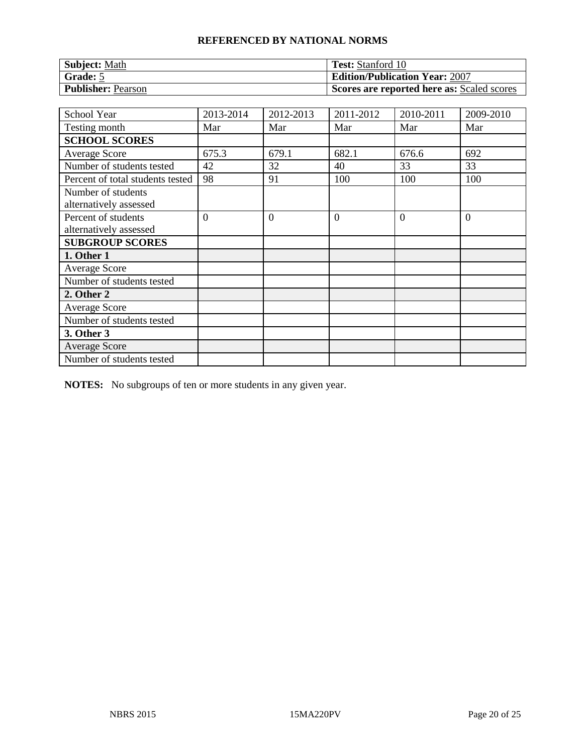| <b>Subject: Math</b>      | <b>Test:</b> Stanford 10                   |
|---------------------------|--------------------------------------------|
| Grade: 5                  | <b>Edition/Publication Year: 2007</b>      |
| <b>Publisher: Pearson</b> | Scores are reported here as: Scaled scores |

| School Year                                   | 2013-2014 | 2012-2013      | 2011-2012      | 2010-2011 | 2009-2010      |
|-----------------------------------------------|-----------|----------------|----------------|-----------|----------------|
| Testing month                                 | Mar       | Mar            | Mar            | Mar       | Mar            |
| <b>SCHOOL SCORES</b>                          |           |                |                |           |                |
| <b>Average Score</b>                          | 675.3     | 679.1          | 682.1          | 676.6     | 692            |
| Number of students tested                     | 42        | 32             | 40             | 33        | 33             |
| Percent of total students tested              | 98        | 91             | 100            | 100       | 100            |
| Number of students<br>alternatively assessed  |           |                |                |           |                |
| Percent of students<br>alternatively assessed | $\theta$  | $\overline{0}$ | $\overline{0}$ | $\Omega$  | $\overline{0}$ |
| <b>SUBGROUP SCORES</b>                        |           |                |                |           |                |
| 1. Other 1                                    |           |                |                |           |                |
| <b>Average Score</b>                          |           |                |                |           |                |
| Number of students tested                     |           |                |                |           |                |
| 2. Other 2                                    |           |                |                |           |                |
| <b>Average Score</b>                          |           |                |                |           |                |
| Number of students tested                     |           |                |                |           |                |
| 3. Other 3                                    |           |                |                |           |                |
| Average Score                                 |           |                |                |           |                |
| Number of students tested                     |           |                |                |           |                |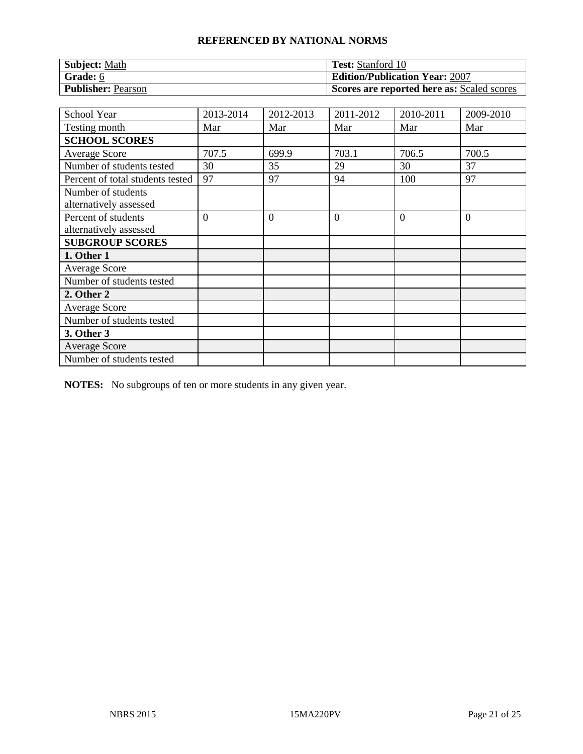| <b>Subject: Math</b>      | <b>Test:</b> Stanford 10                          |
|---------------------------|---------------------------------------------------|
| Grade: 6                  | <b>Edition/Publication Year: 2007</b>             |
| <b>Publisher: Pearson</b> | <b>Scores are reported here as: Scaled scores</b> |

| <b>School Year</b>                            | 2013-2014      | 2012-2013      | 2011-2012      | 2010-2011 | 2009-2010 |
|-----------------------------------------------|----------------|----------------|----------------|-----------|-----------|
| Testing month                                 | Mar            | Mar            | Mar            | Mar       | Mar       |
| <b>SCHOOL SCORES</b>                          |                |                |                |           |           |
| <b>Average Score</b>                          | 707.5          | 699.9          | 703.1          | 706.5     | 700.5     |
| Number of students tested                     | 30             | 35             | 29             | 30        | 37        |
| Percent of total students tested              | 97             | 97             | 94             | 100       | 97        |
| Number of students<br>alternatively assessed  |                |                |                |           |           |
| Percent of students<br>alternatively assessed | $\overline{0}$ | $\overline{0}$ | $\overline{0}$ | $\Omega$  | $\theta$  |
| <b>SUBGROUP SCORES</b>                        |                |                |                |           |           |
| 1. Other 1                                    |                |                |                |           |           |
| <b>Average Score</b>                          |                |                |                |           |           |
| Number of students tested                     |                |                |                |           |           |
| 2. Other 2                                    |                |                |                |           |           |
| <b>Average Score</b>                          |                |                |                |           |           |
| Number of students tested                     |                |                |                |           |           |
| 3. Other 3                                    |                |                |                |           |           |
| <b>Average Score</b>                          |                |                |                |           |           |
| Number of students tested                     |                |                |                |           |           |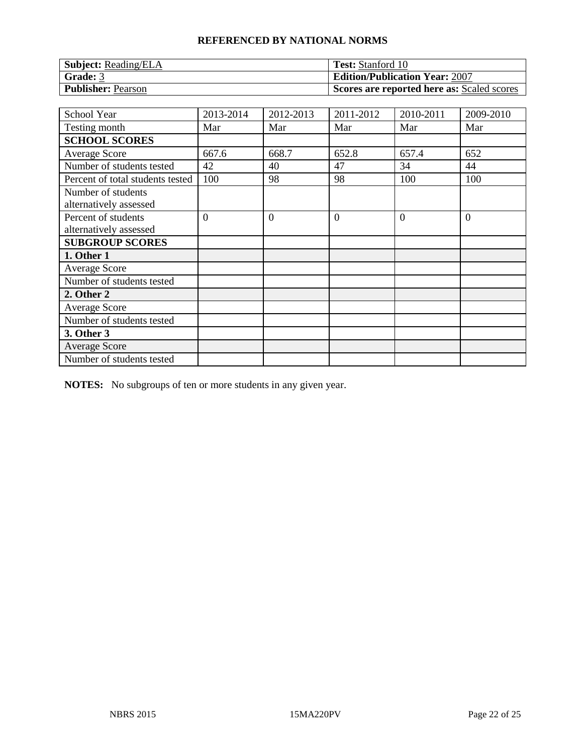| <b>Subject:</b> Reading/ELA | <b>Test:</b> Stanford 10                   |
|-----------------------------|--------------------------------------------|
| Grade: 3                    | <b>Edition/Publication Year: 2007</b>      |
| <b>Publisher: Pearson</b>   | Scores are reported here as: Scaled scores |

| School Year                                   | 2013-2014 | 2012-2013      | 2011-2012 | 2010-2011 | 2009-2010      |
|-----------------------------------------------|-----------|----------------|-----------|-----------|----------------|
| Testing month                                 | Mar       | Mar            | Mar       | Mar       | Mar            |
| <b>SCHOOL SCORES</b>                          |           |                |           |           |                |
| <b>Average Score</b>                          | 667.6     | 668.7          | 652.8     | 657.4     | 652            |
| Number of students tested                     | 42        | 40             | 47        | 34        | 44             |
| Percent of total students tested              | 100       | 98             | 98        | 100       | 100            |
| Number of students<br>alternatively assessed  |           |                |           |           |                |
| Percent of students<br>alternatively assessed | $\theta$  | $\overline{0}$ | $\Omega$  | $\Omega$  | $\overline{0}$ |
| <b>SUBGROUP SCORES</b>                        |           |                |           |           |                |
| 1. Other 1                                    |           |                |           |           |                |
| <b>Average Score</b>                          |           |                |           |           |                |
| Number of students tested                     |           |                |           |           |                |
| 2. Other 2                                    |           |                |           |           |                |
| <b>Average Score</b>                          |           |                |           |           |                |
| Number of students tested                     |           |                |           |           |                |
| 3. Other 3                                    |           |                |           |           |                |
| <b>Average Score</b>                          |           |                |           |           |                |
| Number of students tested                     |           |                |           |           |                |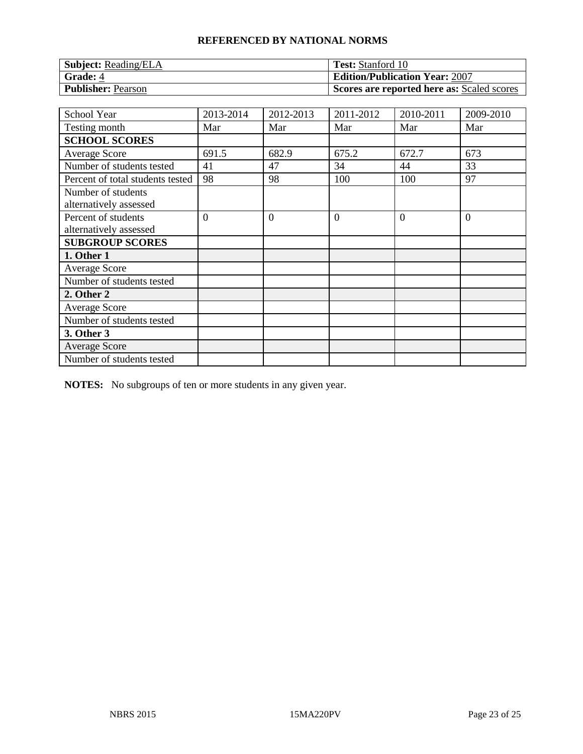| <b>Subject:</b> Reading/ELA | <b>Test:</b> Stanford 10                   |
|-----------------------------|--------------------------------------------|
| Grade: 4                    | <b>Edition/Publication Year: 2007</b>      |
| <b>Publisher: Pearson</b>   | Scores are reported here as: Scaled scores |

| School Year                                   | 2013-2014 | 2012-2013      | 2011-2012 | 2010-2011 | 2009-2010      |
|-----------------------------------------------|-----------|----------------|-----------|-----------|----------------|
| Testing month                                 | Mar       | Mar            | Mar       | Mar       | Mar            |
| <b>SCHOOL SCORES</b>                          |           |                |           |           |                |
| <b>Average Score</b>                          | 691.5     | 682.9          | 675.2     | 672.7     | 673            |
| Number of students tested                     | 41        | 47             | 34        | 44        | 33             |
| Percent of total students tested              | 98        | 98             | 100       | 100       | 97             |
| Number of students<br>alternatively assessed  |           |                |           |           |                |
| Percent of students<br>alternatively assessed | $\theta$  | $\overline{0}$ | $\Omega$  | $\Omega$  | $\overline{0}$ |
| <b>SUBGROUP SCORES</b>                        |           |                |           |           |                |
| 1. Other 1                                    |           |                |           |           |                |
| <b>Average Score</b>                          |           |                |           |           |                |
| Number of students tested                     |           |                |           |           |                |
| 2. Other 2                                    |           |                |           |           |                |
| <b>Average Score</b>                          |           |                |           |           |                |
| Number of students tested                     |           |                |           |           |                |
| 3. Other 3                                    |           |                |           |           |                |
| <b>Average Score</b>                          |           |                |           |           |                |
| Number of students tested                     |           |                |           |           |                |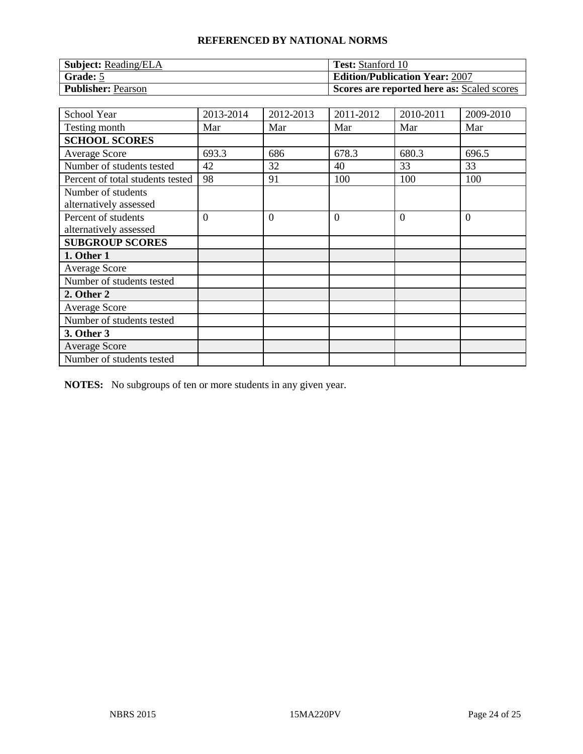| <b>Subject:</b> Reading/ELA | <b>Test:</b> Stanford 10                   |
|-----------------------------|--------------------------------------------|
| Grade: 5                    | <b>Edition/Publication Year: 2007</b>      |
| <b>Publisher: Pearson</b>   | Scores are reported here as: Scaled scores |

| School Year                                   | 2013-2014 | 2012-2013      | 2011-2012      | 2010-2011 | 2009-2010 |
|-----------------------------------------------|-----------|----------------|----------------|-----------|-----------|
| Testing month                                 | Mar       | Mar            | Mar            | Mar       | Mar       |
| <b>SCHOOL SCORES</b>                          |           |                |                |           |           |
| <b>Average Score</b>                          | 693.3     | 686            | 678.3          | 680.3     | 696.5     |
| Number of students tested                     | 42        | 32             | 40             | 33        | 33        |
| Percent of total students tested              | 98        | 91             | 100            | 100       | 100       |
| Number of students<br>alternatively assessed  |           |                |                |           |           |
| Percent of students<br>alternatively assessed | $\theta$  | $\overline{0}$ | $\overline{0}$ | $\Omega$  | $\theta$  |
| <b>SUBGROUP SCORES</b>                        |           |                |                |           |           |
| 1. Other 1                                    |           |                |                |           |           |
| <b>Average Score</b>                          |           |                |                |           |           |
| Number of students tested                     |           |                |                |           |           |
| 2. Other 2                                    |           |                |                |           |           |
| <b>Average Score</b>                          |           |                |                |           |           |
| Number of students tested                     |           |                |                |           |           |
| 3. Other 3                                    |           |                |                |           |           |
| <b>Average Score</b>                          |           |                |                |           |           |
| Number of students tested                     |           |                |                |           |           |